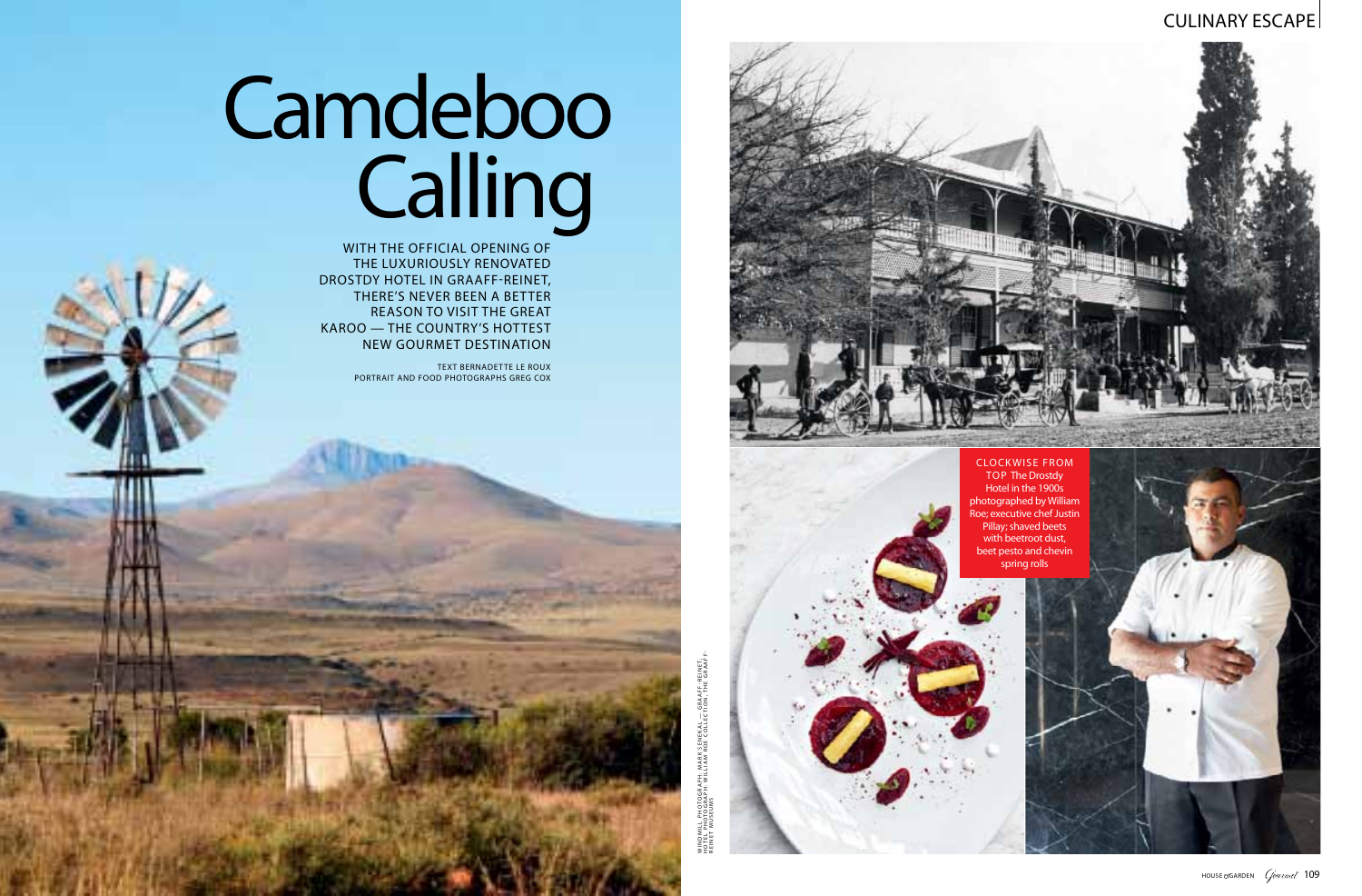

#### CULINARY ESCAPE

WITH THE OFFICIAL OPENING OF the luxuriously renovated Drostdy Hotel in Graaff-Reinet, there's never been a better reason to visit the Great Karoo — the country's hottest new gourmet destination

> reineREINET MUSEUMS

# Camdeboo Calling

TEXT BERNADETTE LE ROUX portrait and food photographs greg cox

> d m ill P HOTOG RAP H: Mark S enekal - GRAAFF-REINET; Ho t el p hotog rap h: willia m r oe collec t ion, th e Graa ff-

z<br>3

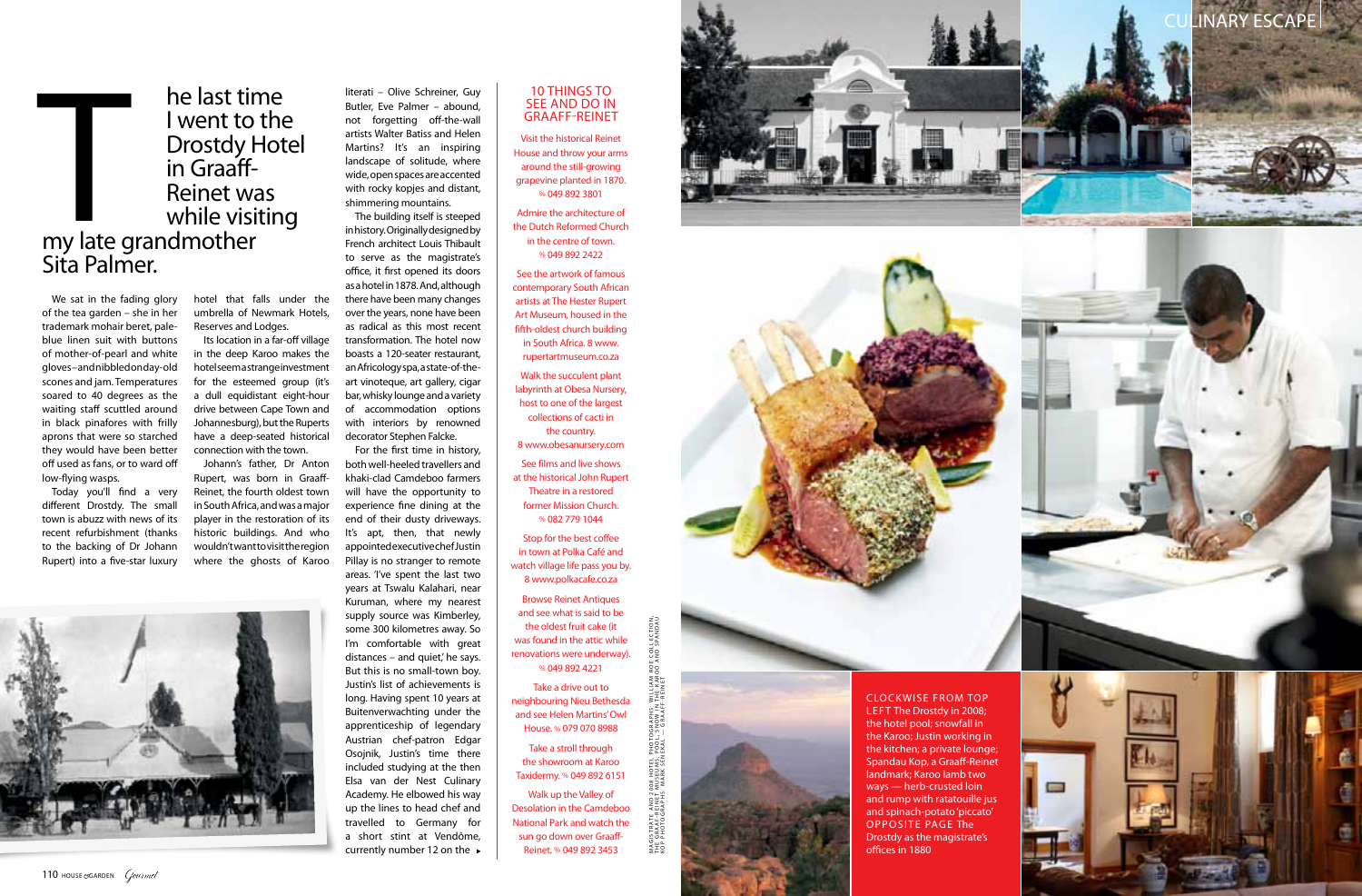

We sat in the fading glory of the tea garden – she in her trademark mohair beret, paleblue linen suit with buttons of mother-of-pearl and white gloves – and nibbled on day-old scones and jam. Temperatures soared to 40 degrees as the waiting staff scuttled around in black pinafores with frilly aprons that were so starched they would have been better off used as fans, or to ward off low-flying wasps. Today you'll find a very

## he last time<br>I went to the **Drostdy Hotel** in Graaff-Reinet was while visiting he last tin<br>
I went to<br>
I went to<br>
Drostdy F<br>
in Graaff-<br>
Reinet wa<br>
while visit<br>
my late grandmother Sita Palmer.

different Drostdy. The small town is abuzz with news of its recent refurbishment (thanks to the backing of Dr Johann Rupert) into a five-star luxury

hotel that falls under the umbrella of Newmark Hotels, Reserves and Lodges.

Its location in a far-off village in the deep Karoo makes the hotel seem a strange investment for the esteemed group (it's a dull equidistant eight-hour drive between Cape Town and Johannesburg), but the Ruperts have a deep-seated historical connection with the town.

For the first time in history, both well-heeled travellers and khaki-clad Camdeboo farmers will have the opportunity to experience fine dining at the end of their dusty driveways. It's apt, then, that newly appointed executive chef Justin Pillay is no stranger to remote areas. 'I've spent the last two years at Tswalu Kalahari, near Kuruman, where my nearest supply source was Kimberley, some 300 kilometres away. So I'm comfortable with great distances – and quiet, he says.<br>But this is no small-town boy. Justin's list of achievements is long. Having spent 10 years at Buitenverwachting under the apprenticeship of legendary Austrian chef-patron Edgar Osojnik, Justin's time there included studying at the then Elsa van der Nest Culinary Academy. He elbowed his way up the lines to head chef and travelled to Germany for a short stint at Vendôme, currently number 12 on the ►

#### 10 THINGS TO **GRAAFF-REINET**

Johann's father, Dr Anton Rupert, was born in Graaff-Reinet, the fourth oldest town in South Africa, and was a major player in the restoration of its historic buildings. And who wouldn't want to visit the region where the ghosts of Karoo



literati – Olive Schreiner, Guy Butler, Eve Palmer – abound, not forgetting off-the-wall artists Walter Batiss and Helen Martins? It's an inspiring landscape of solitude, where wide, open spaces are accented with rocky kopjes and distant, shimmering mountains.

The building itself is steeped in history. Originally designed by French architect Louis Thibault to serve as the magistrate's office, it first opened its doors as a hotel in 1878. And, although there have been many changes over the years, none have been as radical as this most recent transformation. The hotel now boasts a 120-seater restaurant, an Africology spa, a state-of-theart vinoteque, art gallery, cigar bar, whisky lounge and a variety of accommodation options with interiors by renowned decorator Stephen Falcke.

> MAGISTRATE AND 2008 HOTEL PHOTOGRAPHS: WILLIAM ROE COLLECTION<br>KDF PHOTOGRAPHS: MARK VESI EQUI\_ SORMATE REINER<br>CDF PHOTOGRAPHS: MARK VESI EQUI\_ SORMATE REINER ag is t rat e an d 2008 hot el P HOTOG RAP Hs : willia m r oe collec t ion, t h e g raa f - reine t m useu m s ; po ol , sno w in th e kar oo an d S pan dau

Visit the historical Reinet House and throw your arms around the still-growing grapevine planted in 1870. % 049 892 3801

Admire the architecture of the Dutch Reformed Church in the centre of town. % 049 892 2422

See the artwork of famous contemporary South African artists at The Hester Rupert Art Museum, housed in the fifth-oldest church building in South Africa. 8 www. rupertartmuseum.co.za

Walk the succulent plant labyrinth at Obesa Nursery, host to one of the largest collections of cacti in the country.

8 www.obesanursery.com

See films and live shows at the historical John Rupert Theatre in a restored former Mission Church. % 082 779 1044

Stop for the best coffee in town at Polka Café and watch village life pass you by. 8 www.polkacafe.co.za

Browse Reinet Antiques and see what is said to be the oldest fruit cake (it was found in the attic while renovations were underway). % 049 892 4221

Take a drive out to neighbouring Nieu Bethesda and see Helen Martins' Owl House. % 079 070 8988

Take a stroll through the showroom at Karoo Taxidermy. % 049 892 6151

Walk up the Valley of Desolation in the Camdeboo National Park and watch the sun go down over Graaff-Reinet. % 049 892 3453





CL OCKWISE F ROM TOP LEFT The Drostdy in 2008; the hotel pool; snowfall in the Karoo; Justin working in the kitchen; a private lounge; Spandau Kop, a Graaff-Reinet landmark; Karoo lamb two ways — herb-crusted loin and rump with ratatouille jus and spinach-potato 'piccato'<br>OPPOSITE PAGE The<br>Drostdy as the magistrate's offices in 1880





K op p hotog rap h s : Mark S enekal — Graa ff-R eine t